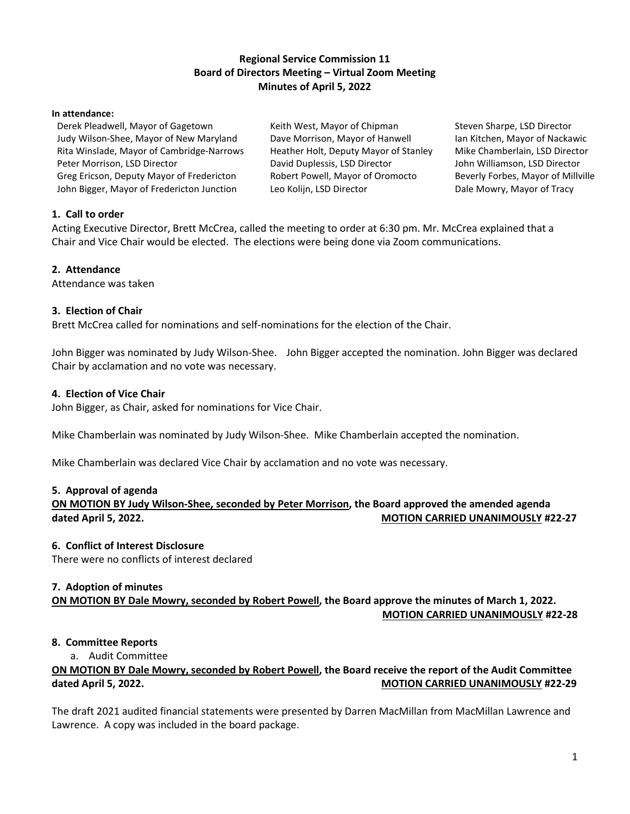## **Regional Service Commission 11 Board of Directors Meeting – Virtual Zoom Meeting Minutes of April 5, 2022**

#### **In attendance:**

Derek Pleadwell, Mayor of Gagetown Judy Wilson-Shee, Mayor of New Maryland Rita Winslade, Mayor of Cambridge-Narrows Peter Morrison, LSD Director Greg Ericson, Deputy Mayor of Fredericton John Bigger, Mayor of Fredericton Junction

Keith West, Mayor of Chipman Dave Morrison, Mayor of Hanwell Heather Holt, Deputy Mayor of Stanley David Duplessis, LSD Director Robert Powell, Mayor of Oromocto Leo Kolijn, LSD Director

Steven Sharpe, LSD Director Ian Kitchen, Mayor of Nackawic Mike Chamberlain, LSD Director John Williamson, LSD Director Beverly Forbes, Mayor of Millville Dale Mowry, Mayor of Tracy

## **1. Call to order**

Acting Executive Director, Brett McCrea, called the meeting to order at 6:30 pm. Mr. McCrea explained that a Chair and Vice Chair would be elected. The elections were being done via Zoom communications.

#### **2. Attendance**

Attendance was taken

### **3. Election of Chair**

Brett McCrea called for nominations and self-nominations for the election of the Chair.

John Bigger was nominated by Judy Wilson-Shee. John Bigger accepted the nomination. John Bigger was declared Chair by acclamation and no vote was necessary.

#### **4. Election of Vice Chair**

John Bigger, as Chair, asked for nominations for Vice Chair.

Mike Chamberlain was nominated by Judy Wilson-Shee. Mike Chamberlain accepted the nomination.

Mike Chamberlain was declared Vice Chair by acclamation and no vote was necessary.

#### **5. Approval of agenda**

**ON MOTION BY Judy Wilson-Shee, seconded by Peter Morrison, the Board approved the amended agenda dated April 5, 2022. MOTION CARRIED UNANIMOUSLY #22-27**

#### **6. Conflict of Interest Disclosure**

There were no conflicts of interest declared

#### **7. Adoption of minutes**

**ON MOTION BY Dale Mowry, seconded by Robert Powell, the Board approve the minutes of March 1, 2022. MOTION CARRIED UNANIMOUSLY #22-28**

#### **8. Committee Reports**

a. Audit Committee

# **ON MOTION BY Dale Mowry, seconded by Robert Powell, the Board receive the report of the Audit Committee dated April 5, 2022. MOTION CARRIED UNANIMOUSLY #22-29**

The draft 2021 audited financial statements were presented by Darren MacMillan from MacMillan Lawrence and Lawrence. A copy was included in the board package.